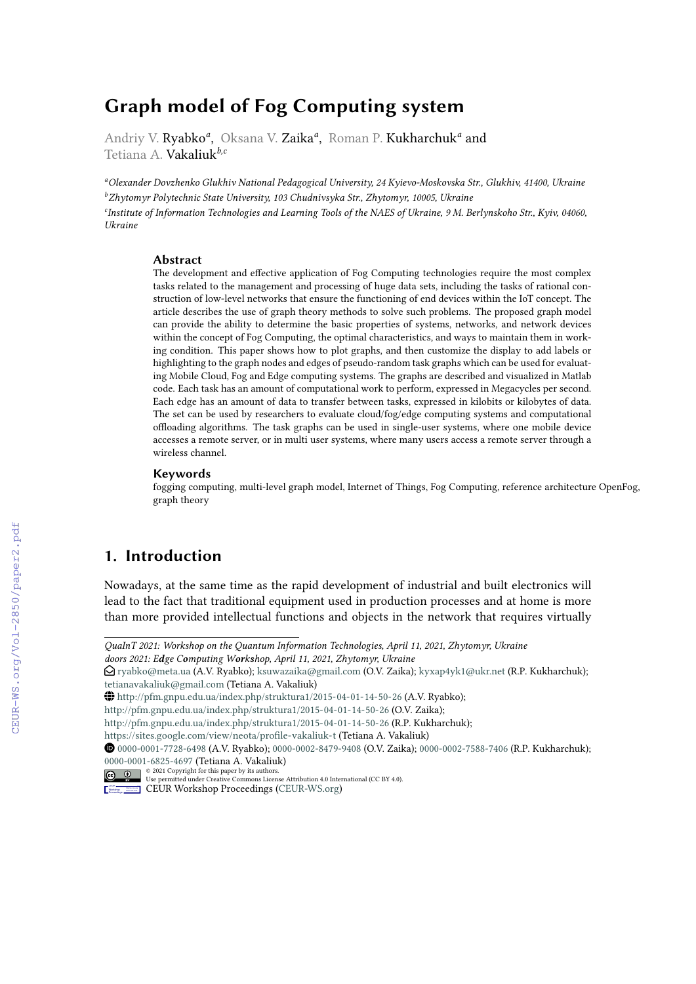# **Graph model of Fog Computing system**

Andriy V. Ryabko<sup>a</sup>, Oksana V. Zaika<sup>a</sup>, Roman P. Kukharchuk<sup>a</sup> and Tetiana A. Vakaliuk*b,c*

*<sup>a</sup>Olexander Dovzhenko Glukhiv National Pedagogical University, 24 Kyievo-Moskovska Str., Glukhiv, 41400, Ukraine <sup>b</sup>Zhytomyr Polytechnic State University, 103 Chudnivsyka Str., Zhytomyr, 10005, Ukraine c Institute of Information Technologies and Learning Tools of the NAES of Ukraine, 9 M. Berlynskoho Str., Kyiv, 04060, Ukraine*

#### **Abstract**

The development and effective application of Fog Computing technologies require the most complex tasks related to the management and processing of huge data sets, including the tasks of rational construction of low-level networks that ensure the functioning of end devices within the IoT concept. The article describes the use of graph theory methods to solve such problems. The proposed graph model can provide the ability to determine the basic properties of systems, networks, and network devices within the concept of Fog Computing, the optimal characteristics, and ways to maintain them in working condition. This paper shows how to plot graphs, and then customize the display to add labels or highlighting to the graph nodes and edges of pseudo-random task graphs which can be used for evaluating Mobile Cloud, Fog and Edge computing systems. The graphs are described and visualized in Matlab code. Each task has an amount of computational work to perform, expressed in Megacycles per second. Each edge has an amount of data to transfer between tasks, expressed in kilobits or kilobytes of data. The set can be used by researchers to evaluate cloud/fog/edge computing systems and computational offloading algorithms. The task graphs can be used in single-user systems, where one mobile device accesses a remote server, or in multi user systems, where many users access a remote server through a wireless channel.

#### **Keywords**

fogging computing, multi-level graph model, Internet of Things, Fog Computing, reference architecture OpenFog, graph theory

## **1. Introduction**

Nowadays, at the same time as the rapid development of industrial and built electronics will lead to the fact that traditional equipment used in production processes and at home is more than more provided intellectual functions and objects in the network that requires virtually

*QuaInT 2021: Workshop on the Quantum Information Technologies, April 11, 2021, Zhytomyr, Ukraine*

*doors 2021: Edge Computing Workshop, April 11, 2021, Zhytomyr, Ukraine*

 $\bigcirc$  [ryabko@meta.ua](mailto:ryabko@meta.ua) (A.V. Ryabko); [ksuwazaika@gmail.com](mailto:ksuwazaika@gmail.com) (O.V. Zaika); [kyxap4yk1@ukr.net](mailto:kyxap4yk1@ukr.net) (R.P. Kukharchuk); [tetianavakaliuk@gmail.com](mailto:tetianavakaliuk@gmail.com) (Tetiana A. Vakaliuk)

<sup>~</sup> <http://pfm.gnpu.edu.ua/index.php/struktura1/2015-04-01-14-50-26> (A.V. Ryabko);

<http://pfm.gnpu.edu.ua/index.php/struktura1/2015-04-01-14-50-26> (O.V. Zaika);

<http://pfm.gnpu.edu.ua/index.php/struktura1/2015-04-01-14-50-26> (R.P. Kukharchuk);

<https://sites.google.com/view/neota/profile-vakaliuk-t> (Tetiana A. Vakaliuk)

[0000-0001-7728-6498](https://orcid.org/0000-0001-7728-6498) (A.V. Ryabko); [0000-0002-8479-9408](https://orcid.org/0000-0002-8479-9408) (O.V. Zaika); [0000-0002-7588-7406](https://orcid.org/0000-0002-7588-7406) (R.P. Kukharchuk); [0000-0001-6825-4697](https://orcid.org/0000-0001-6825-4697) (Tetiana A. Vakaliuk)

<sup>©</sup> 2021 Copyright for this paper by its authors. Use permitted under Creative Commons License Attribution 4.0 International (CC BY 4.0).

**CEUR Workshop [Proceedings](http://ceur-ws.org) [\(CEUR-WS.org\)](http://ceur-ws.org)**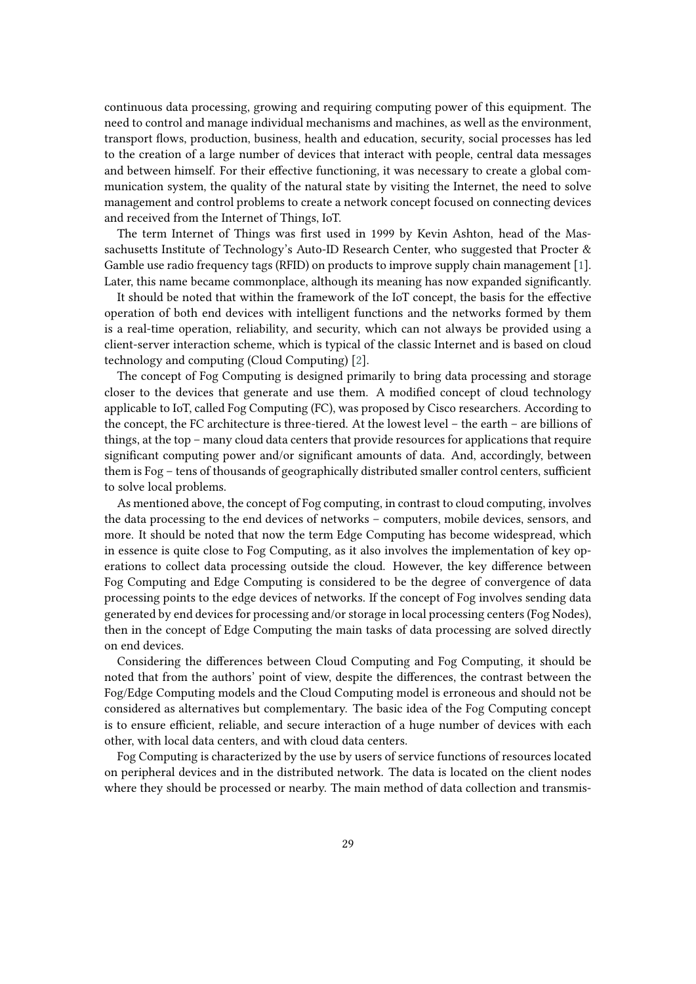continuous data processing, growing and requiring computing power of this equipment. The need to control and manage individual mechanisms and machines, as well as the environment, transport flows, production, business, health and education, security, social processes has led to the creation of a large number of devices that interact with people, central data messages and between himself. For their effective functioning, it was necessary to create a global communication system, the quality of the natural state by visiting the Internet, the need to solve management and control problems to create a network concept focused on connecting devices and received from the Internet of Things, IoT.

The term Internet of Things was first used in 1999 by Kevin Ashton, head of the Massachusetts Institute of Technology's Auto-ID Research Center, who suggested that Procter & Gamble use radio frequency tags (RFID) on products to improve supply chain management [\[1\]](#page-15-0). Later, this name became commonplace, although its meaning has now expanded significantly.

It should be noted that within the framework of the IoT concept, the basis for the effective operation of both end devices with intelligent functions and the networks formed by them is a real-time operation, reliability, and security, which can not always be provided using a client-server interaction scheme, which is typical of the classic Internet and is based on cloud technology and computing (Cloud Computing) [\[2\]](#page-15-1).

The concept of Fog Computing is designed primarily to bring data processing and storage closer to the devices that generate and use them. A modified concept of cloud technology applicable to IoT, called Fog Computing (FC), was proposed by Cisco researchers. According to the concept, the FC architecture is three-tiered. At the lowest level – the earth – are billions of things, at the top – many cloud data centers that provide resources for applications that require significant computing power and/or significant amounts of data. And, accordingly, between them is Fog – tens of thousands of geographically distributed smaller control centers, sufficient to solve local problems.

As mentioned above, the concept of Fog computing, in contrast to cloud computing, involves the data processing to the end devices of networks – computers, mobile devices, sensors, and more. It should be noted that now the term Edge Computing has become widespread, which in essence is quite close to Fog Computing, as it also involves the implementation of key operations to collect data processing outside the cloud. However, the key difference between Fog Computing and Edge Computing is considered to be the degree of convergence of data processing points to the edge devices of networks. If the concept of Fog involves sending data generated by end devices for processing and/or storage in local processing centers (Fog Nodes), then in the concept of Edge Computing the main tasks of data processing are solved directly on end devices.

Considering the differences between Cloud Computing and Fog Computing, it should be noted that from the authors' point of view, despite the differences, the contrast between the Fog/Edge Computing models and the Cloud Computing model is erroneous and should not be considered as alternatives but complementary. The basic idea of the Fog Computing concept is to ensure efficient, reliable, and secure interaction of a huge number of devices with each other, with local data centers, and with cloud data centers.

Fog Computing is characterized by the use by users of service functions of resources located on peripheral devices and in the distributed network. The data is located on the client nodes where they should be processed or nearby. The main method of data collection and transmis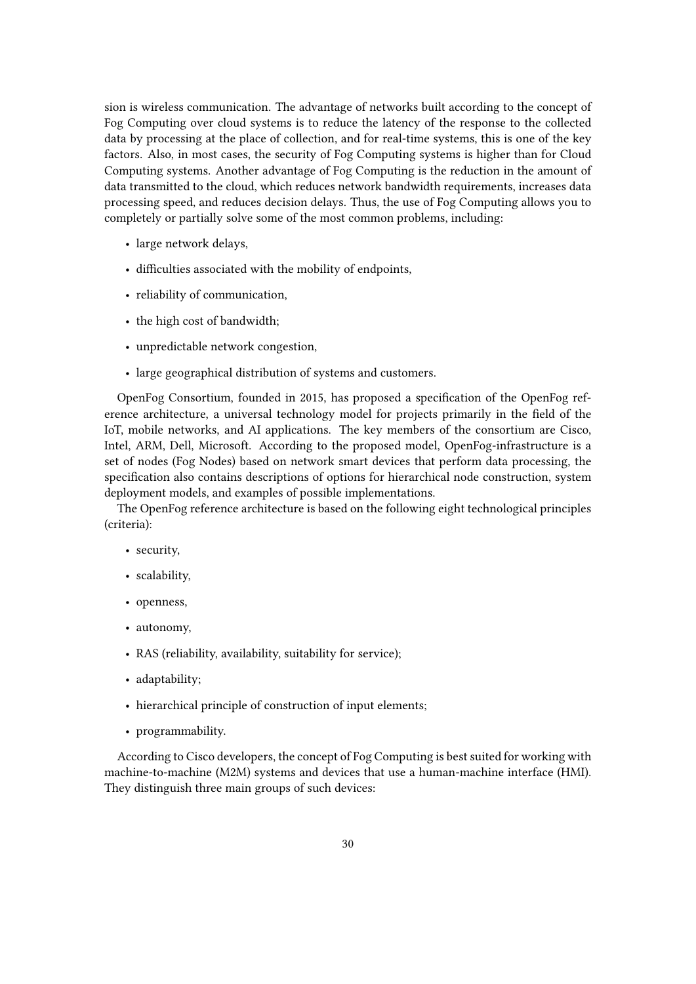sion is wireless communication. The advantage of networks built according to the concept of Fog Computing over cloud systems is to reduce the latency of the response to the collected data by processing at the place of collection, and for real-time systems, this is one of the key factors. Also, in most cases, the security of Fog Computing systems is higher than for Cloud Computing systems. Another advantage of Fog Computing is the reduction in the amount of data transmitted to the cloud, which reduces network bandwidth requirements, increases data processing speed, and reduces decision delays. Thus, the use of Fog Computing allows you to completely or partially solve some of the most common problems, including:

- large network delays,
- difficulties associated with the mobility of endpoints,
- reliability of communication,
- the high cost of bandwidth;
- unpredictable network congestion,
- large geographical distribution of systems and customers.

OpenFog Consortium, founded in 2015, has proposed a specification of the OpenFog reference architecture, a universal technology model for projects primarily in the field of the IoT, mobile networks, and AI applications. The key members of the consortium are Cisco, Intel, ARM, Dell, Microsoft. According to the proposed model, OpenFog-infrastructure is a set of nodes (Fog Nodes) based on network smart devices that perform data processing, the specification also contains descriptions of options for hierarchical node construction, system deployment models, and examples of possible implementations.

The OpenFog reference architecture is based on the following eight technological principles (criteria):

- security,
- scalability,
- openness,
- autonomy,
- RAS (reliability, availability, suitability for service);
- adaptability;
- hierarchical principle of construction of input elements;
- programmability.

According to Cisco developers, the concept of Fog Computing is best suited for working with machine-to-machine (M2M) systems and devices that use a human-machine interface (HMI). They distinguish three main groups of such devices: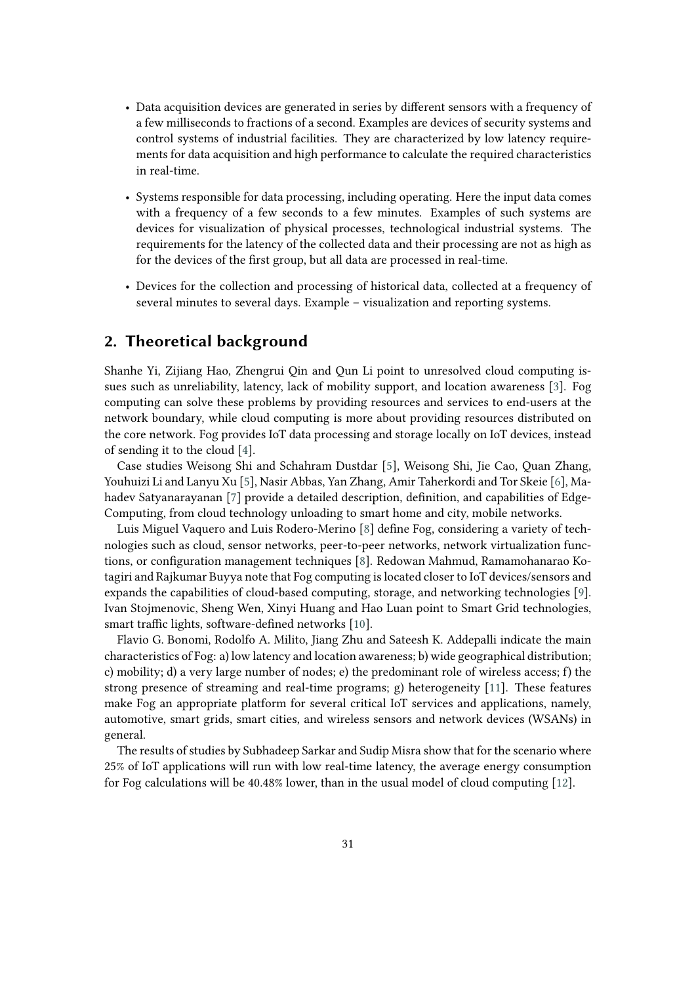- Data acquisition devices are generated in series by different sensors with a frequency of a few milliseconds to fractions of a second. Examples are devices of security systems and control systems of industrial facilities. They are characterized by low latency requirements for data acquisition and high performance to calculate the required characteristics in real-time.
- Systems responsible for data processing, including operating. Here the input data comes with a frequency of a few seconds to a few minutes. Examples of such systems are devices for visualization of physical processes, technological industrial systems. The requirements for the latency of the collected data and their processing are not as high as for the devices of the first group, but all data are processed in real-time.
- Devices for the collection and processing of historical data, collected at a frequency of several minutes to several days. Example – visualization and reporting systems.

#### **2. Theoretical background**

Shanhe Yi, Zijiang Hao, Zhengrui Qin and Qun Li point to unresolved cloud computing issues such as unreliability, latency, lack of mobility support, and location awareness [\[3\]](#page-15-2). Fog computing can solve these problems by providing resources and services to end-users at the network boundary, while cloud computing is more about providing resources distributed on the core network. Fog provides IoT data processing and storage locally on IoT devices, instead of sending it to the cloud [\[4\]](#page-15-3).

Case studies Weisong Shi and Schahram Dustdar [\[5\]](#page-15-4), Weisong Shi, Jie Cao, Quan Zhang, Youhuizi Li and Lanyu Xu [\[5\]](#page-15-4), Nasir Abbas, Yan Zhang, Amir Taherkordi and Tor Skeie [\[6\]](#page-15-5), Mahadev Satyanarayanan [\[7\]](#page-15-6) provide a detailed description, definition, and capabilities of Edge-Computing, from cloud technology unloading to smart home and city, mobile networks.

Luis Miguel Vaquero and Luis Rodero-Merino [\[8\]](#page-15-7) define Fog, considering a variety of technologies such as cloud, sensor networks, peer-to-peer networks, network virtualization functions, or configuration management techniques [\[8\]](#page-15-7). Redowan Mahmud, Ramamohanarao Kotagiri and Rajkumar Buyya note that Fog computing is located closer to IoT devices/sensors and expands the capabilities of cloud-based computing, storage, and networking technologies [\[9\]](#page-15-8). Ivan Stojmenovic, Sheng Wen, Xinyi Huang and Hao Luan point to Smart Grid technologies, smart traffic lights, software-defined networks [\[10\]](#page-15-9).

Flavio G. Bonomi, Rodolfo A. Milito, Jiang Zhu and Sateesh K. Addepalli indicate the main characteristics of Fog: a) low latency and location awareness; b) wide geographical distribution; c) mobility; d) a very large number of nodes; e) the predominant role of wireless access; f) the strong presence of streaming and real-time programs; g) heterogeneity [\[11\]](#page-15-10). These features make Fog an appropriate platform for several critical IoT services and applications, namely, automotive, smart grids, smart cities, and wireless sensors and network devices (WSANs) in general.

The results of studies by Subhadeep Sarkar and Sudip Misra show that for the scenario where 25% of IoT applications will run with low real-time latency, the average energy consumption for Fog calculations will be 40.48% lower, than in the usual model of cloud computing [\[12\]](#page-15-11).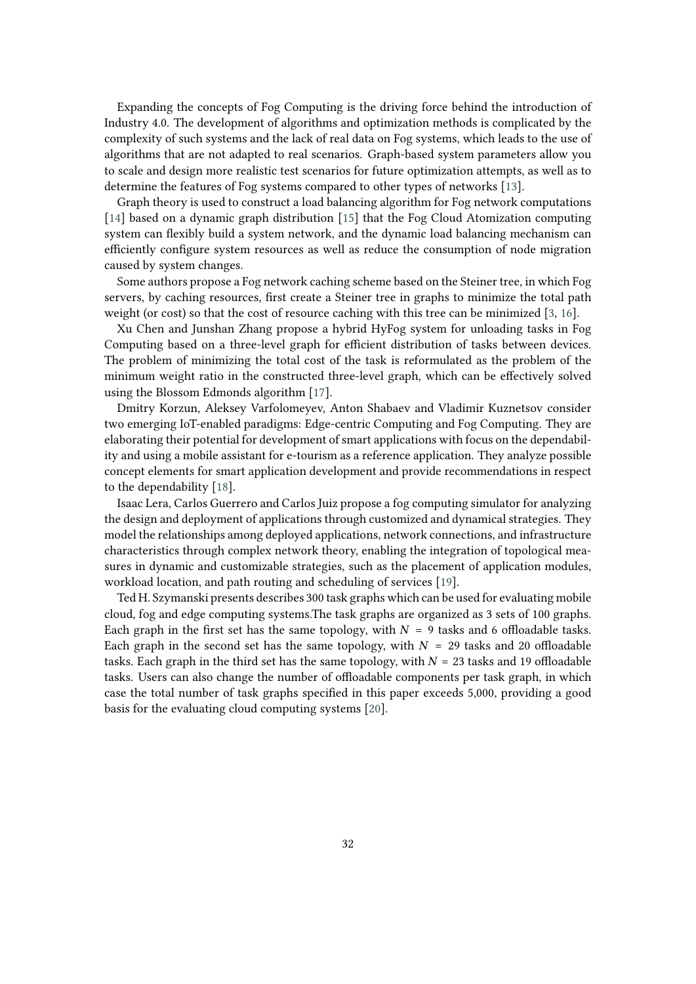Expanding the concepts of Fog Computing is the driving force behind the introduction of Industry 4.0. The development of algorithms and optimization methods is complicated by the complexity of such systems and the lack of real data on Fog systems, which leads to the use of algorithms that are not adapted to real scenarios. Graph-based system parameters allow you to scale and design more realistic test scenarios for future optimization attempts, as well as to determine the features of Fog systems compared to other types of networks [\[13\]](#page-15-12).

Graph theory is used to construct a load balancing algorithm for Fog network computations [\[14\]](#page-15-13) based on a dynamic graph distribution [\[15\]](#page-16-0) that the Fog Cloud Atomization computing system can flexibly build a system network, and the dynamic load balancing mechanism can efficiently configure system resources as well as reduce the consumption of node migration caused by system changes.

Some authors propose a Fog network caching scheme based on the Steiner tree, in which Fog servers, by caching resources, first create a Steiner tree in graphs to minimize the total path weight (or cost) so that the cost of resource caching with this tree can be minimized [\[3,](#page-15-2) [16\]](#page-16-1).

Xu Chen and Junshan Zhang propose a hybrid HyFog system for unloading tasks in Fog Computing based on a three-level graph for efficient distribution of tasks between devices. The problem of minimizing the total cost of the task is reformulated as the problem of the minimum weight ratio in the constructed three-level graph, which can be effectively solved using the Blossom Edmonds algorithm [\[17\]](#page-16-2).

Dmitry Korzun, Aleksey Varfolomeyev, Anton Shabaev and Vladimir Kuznetsov consider two emerging IoT-enabled paradigms: Edge-centric Computing and Fog Computing. They are elaborating their potential for development of smart applications with focus on the dependability and using a mobile assistant for e-tourism as a reference application. They analyze possible concept elements for smart application development and provide recommendations in respect to the dependability [\[18\]](#page-16-3).

Isaac Lera, Carlos Guerrero and Carlos Juiz propose a fog computing simulator for analyzing the design and deployment of applications through customized and dynamical strategies. They model the relationships among deployed applications, network connections, and infrastructure characteristics through complex network theory, enabling the integration of topological measures in dynamic and customizable strategies, such as the placement of application modules, workload location, and path routing and scheduling of services [\[19\]](#page-16-4).

Ted H. Szymanski presents describes 300 task graphs which can be used for evaluating mobile cloud, fog and edge computing systems.The task graphs are organized as 3 sets of 100 graphs. Each graph in the first set has the same topology, with  $N = 9$  tasks and 6 offloadable tasks. Each graph in the second set has the same topology, with  $N = 29$  tasks and 20 offloadable tasks. Each graph in the third set has the same topology, with  $N = 23$  tasks and 19 offloadable tasks. Users can also change the number of offloadable components per task graph, in which case the total number of task graphs specified in this paper exceeds 5,000, providing a good basis for the evaluating cloud computing systems [\[20\]](#page-16-5).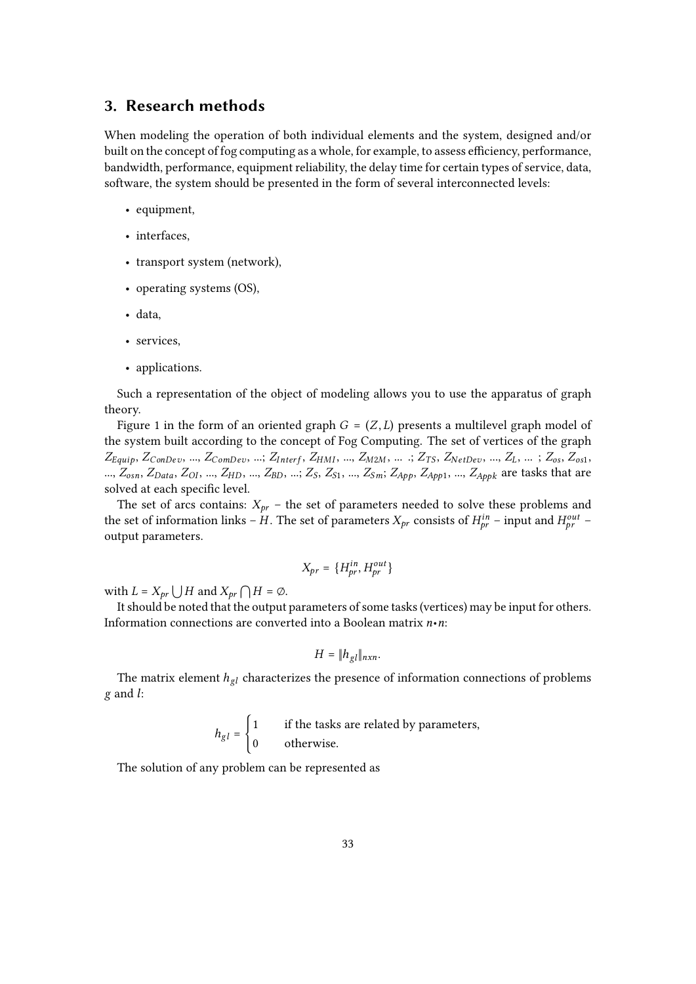#### **3. Research methods**

When modeling the operation of both individual elements and the system, designed and/or built on the concept of fog computing as a whole, for example, to assess efficiency, performance, bandwidth, performance, equipment reliability, the delay time for certain types of service, data, software, the system should be presented in the form of several interconnected levels:

- equipment,
- interfaces,
- transport system (network),
- operating systems (OS),
- data,
- services,
- applications.

Such a representation of the object of modeling allows you to use the apparatus of graph theory.

Figure 1 in the form of an oriented graph  $G = (Z, L)$  presents a multilevel graph model of the system built according to the concept of Fog Computing. The set of vertices of the graph  $Z_{Equip}, Z_{ConDev}, ..., Z_{ComDev}, ..., Z_{Interf}, Z_{HMI}, ..., Z_{M2M}, ..., Z_{Ts}, Z_{NetDev}, ..., Z_L, ..., Z_{os}, Z_{os1},$ ...,  $Z_{osn}$ ,  $Z_{Data}$ ,  $Z_{OI}$ , ...,  $Z_{HD}$ , ...,  $Z_{BD}$ , ...,  $Z_S$ ,  $Z_{S1}$ , ...,  $Z_{Sm}$ ;  $Z_{App}$ ,  $Z_{App1}$ , ...,  $Z_{Appk}$  are tasks that are solved at each specific level.

The set of arcs contains:  $X_{pr}$  – the set of parameters needed to solve these problems and the set of information links – H. The set of parameters  $X_{pr}$  consists of  $H^{in}_{br}$  – input and  $H^{out}_{br}$  – output parameters.

$$
X_{pr} = \{H_{pr}^{in}, H_{pr}^{out}\}
$$

with  $L = X_{pr} \bigcup H$  and  $X_{pr} \bigcap H = \emptyset$ .

It should be noted that the output parameters of some tasks (vertices) may be input for others. Information connections are converted into a Boolean matrix *n*•*n*:

$$
H=\|h_{gl}\|_{n\times n}.
$$

The matrix element  $h_{gl}$  characterizes the presence of information connections of problems  $g$  and  $l$ :

$$
h_{gl} = \begin{cases} 1 & \text{if the tasks are related by parameters,} \\ 0 & \text{otherwise.} \end{cases}
$$

The solution of any problem can be represented as

i<br>L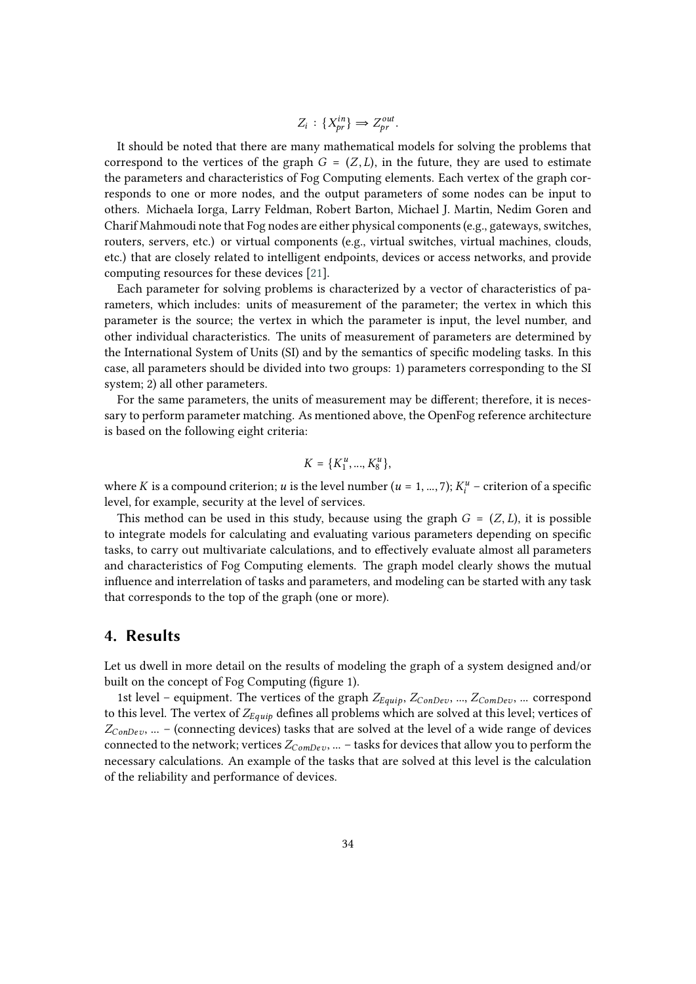$$
Z_i: \{X_{pr}^{in}\}\Rightarrow Z_{pr}^{out}.
$$

It should be noted that there are many mathematical models for solving the problems that correspond to the vertices of the graph  $G = (Z, L)$ , in the future, they are used to estimate the parameters and characteristics of Fog Computing elements. Each vertex of the graph corresponds to one or more nodes, and the output parameters of some nodes can be input to others. Michaela Iorga, Larry Feldman, Robert Barton, Michael J. Martin, Nedim Goren and Charif Mahmoudi note that Fog nodes are either physical components (e.g., gateways, switches, routers, servers, etc.) or virtual components (e.g., virtual switches, virtual machines, clouds, etc.) that are closely related to intelligent endpoints, devices or access networks, and provide computing resources for these devices [\[21\]](#page-16-6).

Each parameter for solving problems is characterized by a vector of characteristics of parameters, which includes: units of measurement of the parameter; the vertex in which this parameter is the source; the vertex in which the parameter is input, the level number, and other individual characteristics. The units of measurement of parameters are determined by the International System of Units (SI) and by the semantics of specific modeling tasks. In this case, all parameters should be divided into two groups: 1) parameters corresponding to the SI system; 2) all other parameters.

For the same parameters, the units of measurement may be different; therefore, it is necessary to perform parameter matching. As mentioned above, the OpenFog reference architecture is based on the following eight criteria:

$$
K = \{K_1^u, ..., K_8^u\},\
$$

where K is a compound criterion; u is the level number ( $u = 1, ..., 7$ );  $K_i^u$  – criterion of a specific level, for example, security at the level of services.

This method can be used in this study, because using the graph  $G = (Z, L)$ , it is possible to integrate models for calculating and evaluating various parameters depending on specific tasks, to carry out multivariate calculations, and to effectively evaluate almost all parameters and characteristics of Fog Computing elements. The graph model clearly shows the mutual influence and interrelation of tasks and parameters, and modeling can be started with any task that corresponds to the top of the graph (one or more).

### **4. Results**

Let us dwell in more detail on the results of modeling the graph of a system designed and/or built on the concept of Fog Computing (figure 1).

1st level – equipment. The vertices of the graph  $Z_{Equip}$ ,  $Z_{ConDev}$ , ...,  $Z_{ComDev}$ , ... correspond to this level. The vertex of  $Z_{Equip}$  defines all problems which are solved at this level; vertices of  $Z_{ConDev}$ , ... – (connecting devices) tasks that are solved at the level of a wide range of devices connected to the network; vertices  $Z_{Combev}$ , ... – tasks for devices that allow you to perform the necessary calculations. An example of the tasks that are solved at this level is the calculation of the reliability and performance of devices.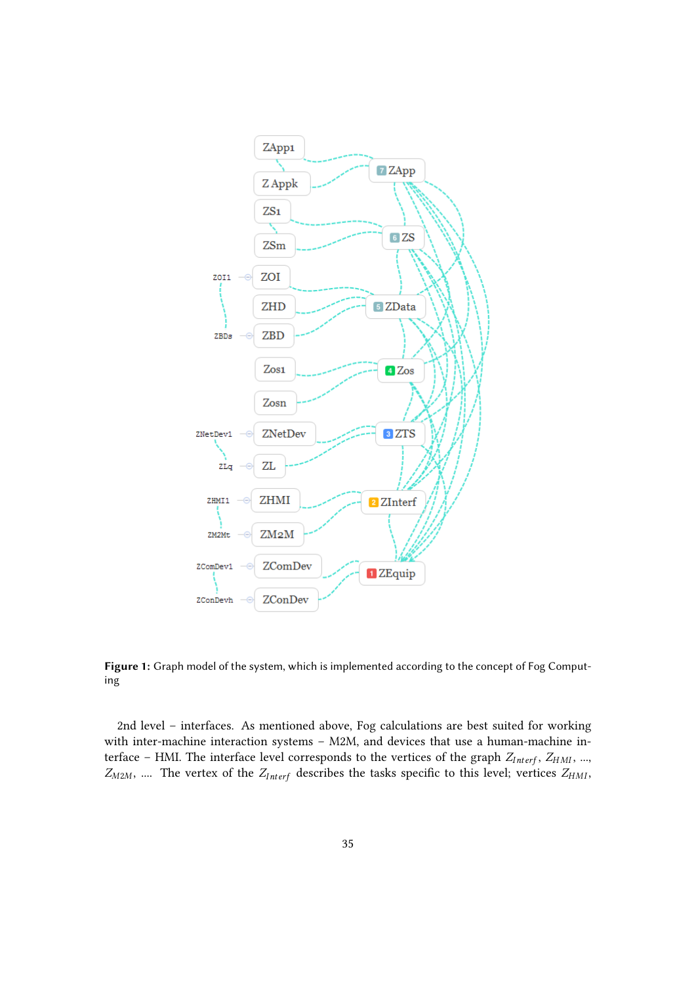

**Figure 1:** Graph model of the system, which is implemented according to the concept of Fog Computing

2nd level – interfaces. As mentioned above, Fog calculations are best suited for working with inter-machine interaction systems – M2M, and devices that use a human-machine interface – HMI. The interface level corresponds to the vertices of the graph  $Z_{Interf}$ ,  $Z_{HMI}$ , ...,  $Z_{M2M}$ , .... The vertex of the  $Z_{Interf}$  describes the tasks specific to this level; vertices  $Z_{HMI}$ ,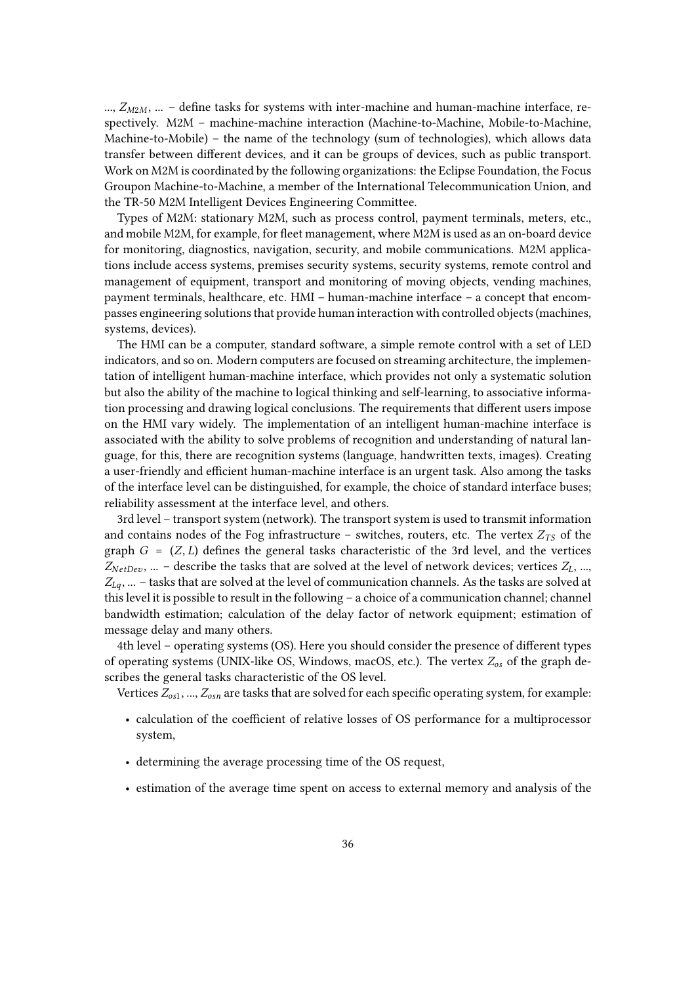...,  $Z_{M2M}$ , ... – define tasks for systems with inter-machine and human-machine interface, respectively. M2M – machine-machine interaction (Machine-to-Machine, Mobile-to-Machine, Machine-to-Mobile) – the name of the technology (sum of technologies), which allows data transfer between different devices, and it can be groups of devices, such as public transport. Work on M2M is coordinated by the following organizations: the Eclipse Foundation, the Focus Groupon Machine-to-Machine, a member of the International Telecommunication Union, and the TR-50 M2M Intelligent Devices Engineering Committee.

Types of M2M: stationary M2M, such as process control, payment terminals, meters, etc., and mobile M2M, for example, for fleet management, where M2M is used as an on-board device for monitoring, diagnostics, navigation, security, and mobile communications. M2M applications include access systems, premises security systems, security systems, remote control and management of equipment, transport and monitoring of moving objects, vending machines, payment terminals, healthcare, etc. HMI – human-machine interface – a concept that encompasses engineering solutions that provide human interaction with controlled objects (machines, systems, devices).

The HMI can be a computer, standard software, a simple remote control with a set of LED indicators, and so on. Modern computers are focused on streaming architecture, the implementation of intelligent human-machine interface, which provides not only a systematic solution but also the ability of the machine to logical thinking and self-learning, to associative information processing and drawing logical conclusions. The requirements that different users impose on the HMI vary widely. The implementation of an intelligent human-machine interface is associated with the ability to solve problems of recognition and understanding of natural language, for this, there are recognition systems (language, handwritten texts, images). Creating a user-friendly and efficient human-machine interface is an urgent task. Also among the tasks of the interface level can be distinguished, for example, the choice of standard interface buses; reliability assessment at the interface level, and others.

3rd level – transport system (network). The transport system is used to transmit information and contains nodes of the Fog infrastructure – switches, routers, etc. The vertex  $Z_{TS}$  of the graph  $G = (Z, L)$  defines the general tasks characteristic of the 3rd level, and the vertices  $Z_{NetDev}$ , ... – describe the tasks that are solved at the level of network devices; vertices  $Z_L$ , ...,  $Z_{l,q}$ , ... – tasks that are solved at the level of communication channels. As the tasks are solved at this level it is possible to result in the following – a choice of a communication channel; channel bandwidth estimation; calculation of the delay factor of network equipment; estimation of message delay and many others.

4th level – operating systems (OS). Here you should consider the presence of different types of operating systems (UNIX-like OS, Windows, macOS, etc.). The vertex  $Z_{os}$  of the graph describes the general tasks characteristic of the OS level.

Vertices  $Z_{os1}$ , ...,  $Z_{osn}$  are tasks that are solved for each specific operating system, for example:

- calculation of the coefficient of relative losses of OS performance for a multiprocessor system,
- determining the average processing time of the OS request,
- estimation of the average time spent on access to external memory and analysis of the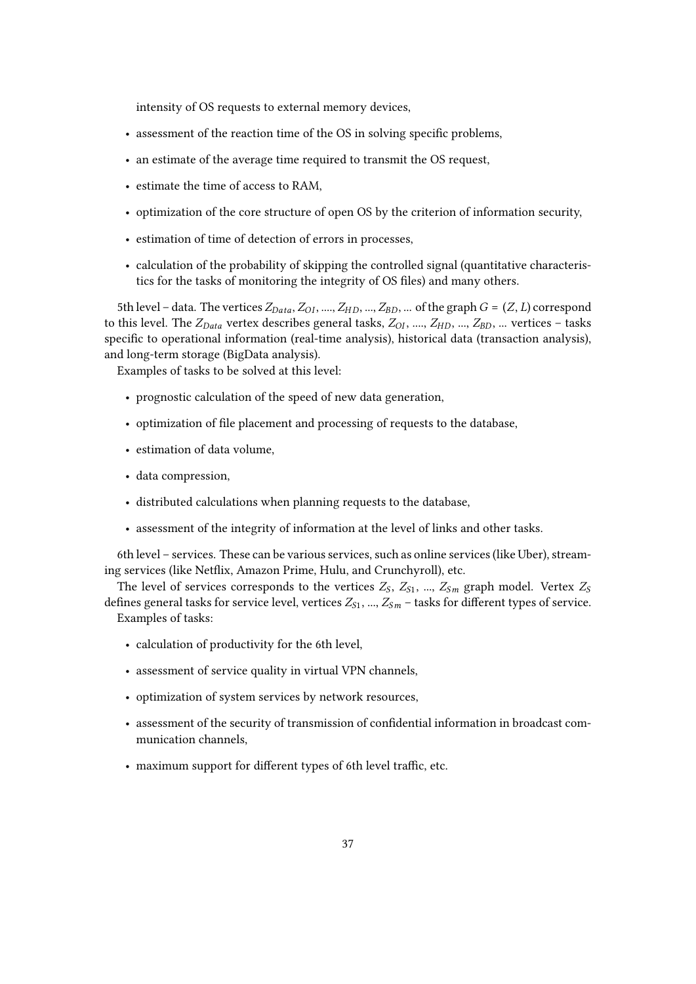intensity of OS requests to external memory devices,

- assessment of the reaction time of the OS in solving specific problems,
- an estimate of the average time required to transmit the OS request,
- estimate the time of access to RAM,
- optimization of the core structure of open OS by the criterion of information security,
- estimation of time of detection of errors in processes,
- calculation of the probability of skipping the controlled signal (quantitative characteristics for the tasks of monitoring the integrity of OS files) and many others.

5th level – data. The vertices  $Z_{Data}$ ,  $Z_{OI}$ , ....,  $Z_{HD}$ , ...,  $Z_{BD}$ , ... of the graph  $G = (Z, L)$  correspond to this level. The  $Z_{Data}$  vertex describes general tasks,  $Z_{OI}$ , ...,  $Z_{HD}$ , ...,  $Z_{BD}$ , ... vertices – tasks specific to operational information (real-time analysis), historical data (transaction analysis), and long-term storage (BigData analysis).

Examples of tasks to be solved at this level:

- prognostic calculation of the speed of new data generation,
- optimization of file placement and processing of requests to the database,
- estimation of data volume,
- data compression,
- distributed calculations when planning requests to the database,
- assessment of the integrity of information at the level of links and other tasks.

6th level – services. These can be various services, such as online services (like Uber), streaming services (like Netflix, Amazon Prime, Hulu, and Crunchyroll), etc.

The level of services corresponds to the vertices  $Z_s$ ,  $Z_{s1}$ , ...,  $Z_{s1}$  graph model. Vertex  $Z_s$ defines general tasks for service level, vertices  $Z_{S1}$ , ...,  $Z_{Sm}$  – tasks for different types of service. Examples of tasks:

- calculation of productivity for the 6th level,
- assessment of service quality in virtual VPN channels,
- optimization of system services by network resources,
- assessment of the security of transmission of confidential information in broadcast communication channels,
- maximum support for different types of 6th level traffic, etc.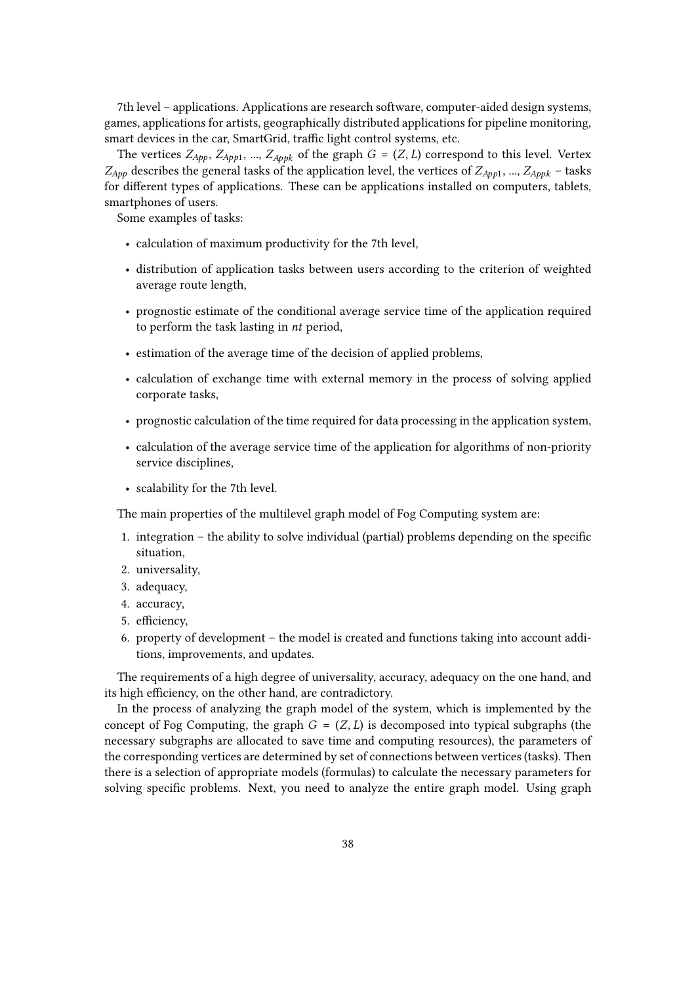7th level – applications. Applications are research software, computer-aided design systems, games, applications for artists, geographically distributed applications for pipeline monitoring, smart devices in the car, SmartGrid, traffic light control systems, etc.

The vertices  $Z_{App}$ ,  $Z_{App1}$ , ...,  $Z_{Appk}$  of the graph  $G = (Z, L)$  correspond to this level. Vertex  $Z_{App}$  describes the general tasks of the application level, the vertices of  $Z_{App1}$ , ...,  $Z_{Appk}$  – tasks for different types of applications. These can be applications installed on computers, tablets, smartphones of users.

Some examples of tasks:

- calculation of maximum productivity for the 7th level,
- distribution of application tasks between users according to the criterion of weighted average route length,
- prognostic estimate of the conditional average service time of the application required to perform the task lasting in  $nt$  period,
- estimation of the average time of the decision of applied problems,
- calculation of exchange time with external memory in the process of solving applied corporate tasks,
- prognostic calculation of the time required for data processing in the application system,
- calculation of the average service time of the application for algorithms of non-priority service disciplines,
- scalability for the 7th level.

The main properties of the multilevel graph model of Fog Computing system are:

- 1. integration the ability to solve individual (partial) problems depending on the specific situation,
- 2. universality,
- 3. adequacy,
- 4. accuracy,
- 5. efficiency,
- 6. property of development the model is created and functions taking into account additions, improvements, and updates.

The requirements of a high degree of universality, accuracy, adequacy on the one hand, and its high efficiency, on the other hand, are contradictory.

In the process of analyzing the graph model of the system, which is implemented by the concept of Fog Computing, the graph  $G = (Z, L)$  is decomposed into typical subgraphs (the necessary subgraphs are allocated to save time and computing resources), the parameters of the corresponding vertices are determined by set of connections between vertices (tasks). Then there is a selection of appropriate models (formulas) to calculate the necessary parameters for solving specific problems. Next, you need to analyze the entire graph model. Using graph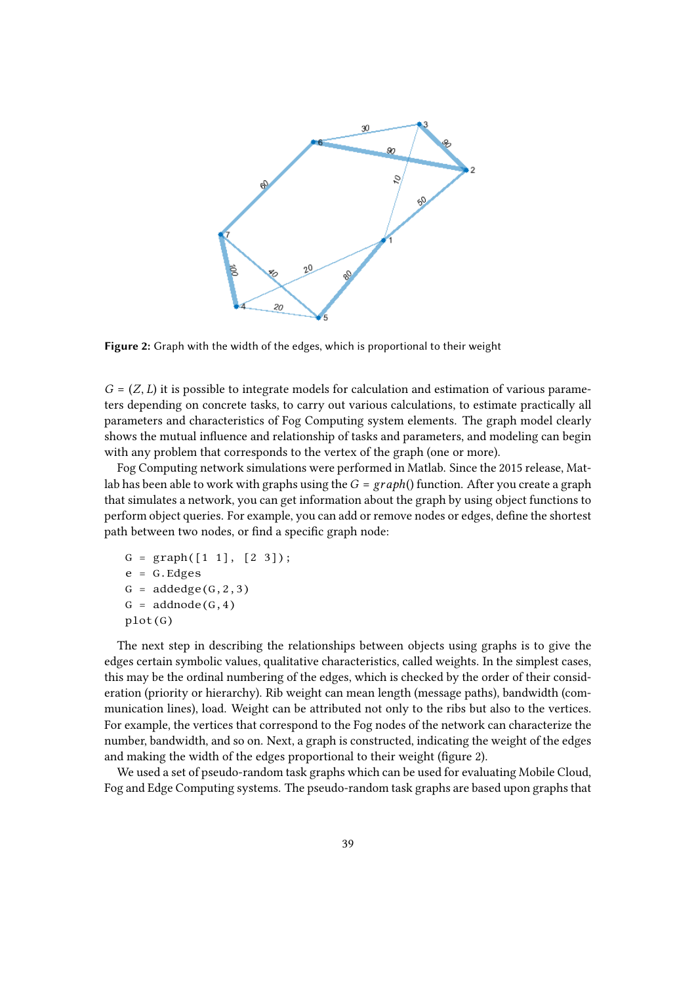

**Figure 2:** Graph with the width of the edges, which is proportional to their weight

 $G = (Z, L)$  it is possible to integrate models for calculation and estimation of various parameters depending on concrete tasks, to carry out various calculations, to estimate practically all parameters and characteristics of Fog Computing system elements. The graph model clearly shows the mutual influence and relationship of tasks and parameters, and modeling can begin with any problem that corresponds to the vertex of the graph (one or more).

Fog Computing network simulations were performed in Matlab. Since the 2015 release, Matlab has been able to work with graphs using the  $G = graph()$  function. After you create a graph that simulates a network, you can get information about the graph by using object functions to perform object queries. For example, you can add or remove nodes or edges, define the shortest path between two nodes, or find a specific graph node:

```
G = graph([1 1], [2 3]);e = G.EdeesG = addedge(G, 2, 3)G = addnode(G, 4)plot(G)
```
The next step in describing the relationships between objects using graphs is to give the edges certain symbolic values, qualitative characteristics, called weights. In the simplest cases, this may be the ordinal numbering of the edges, which is checked by the order of their consideration (priority or hierarchy). Rib weight can mean length (message paths), bandwidth (communication lines), load. Weight can be attributed not only to the ribs but also to the vertices. For example, the vertices that correspond to the Fog nodes of the network can characterize the number, bandwidth, and so on. Next, a graph is constructed, indicating the weight of the edges and making the width of the edges proportional to their weight (figure 2).

We used a set of pseudo-random task graphs which can be used for evaluating Mobile Cloud, Fog and Edge Computing systems. The pseudo-random task graphs are based upon graphs that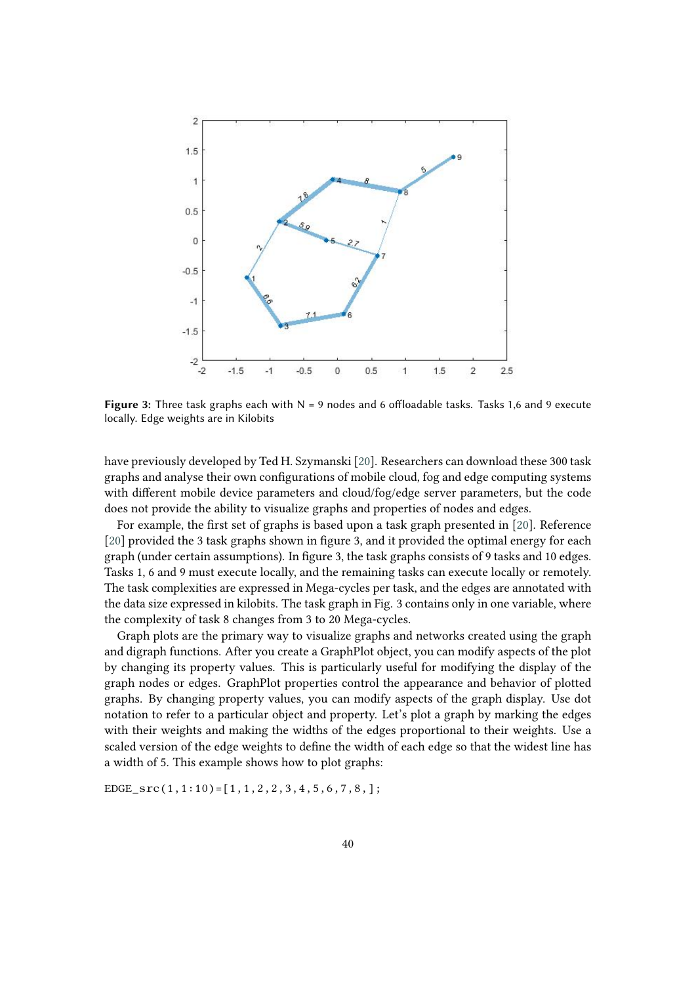

**Figure 3:** Three task graphs each with N = 9 nodes and 6 offloadable tasks. Tasks 1,6 and 9 execute locally. Edge weights are in Kilobits

have previously developed by Ted H. Szymanski [\[20\]](#page-16-5). Researchers can download these 300 task graphs and analyse their own configurations of mobile cloud, fog and edge computing systems with different mobile device parameters and cloud/fog/edge server parameters, but the code does not provide the ability to visualize graphs and properties of nodes and edges.

For example, the first set of graphs is based upon a task graph presented in [\[20\]](#page-16-5). Reference [\[20\]](#page-16-5) provided the 3 task graphs shown in figure 3, and it provided the optimal energy for each graph (under certain assumptions). In figure 3, the task graphs consists of 9 tasks and 10 edges. Tasks 1, 6 and 9 must execute locally, and the remaining tasks can execute locally or remotely. The task complexities are expressed in Mega-cycles per task, and the edges are annotated with the data size expressed in kilobits. The task graph in Fig. 3 contains only in one variable, where the complexity of task 8 changes from 3 to 20 Mega-cycles.

Graph plots are the primary way to visualize graphs and networks created using the graph and digraph functions. After you create a GraphPlot object, you can modify aspects of the plot by changing its property values. This is particularly useful for modifying the display of the graph nodes or edges. GraphPlot properties control the appearance and behavior of plotted graphs. By changing property values, you can modify aspects of the graph display. Use dot notation to refer to a particular object and property. Let's plot a graph by marking the edges with their weights and making the widths of the edges proportional to their weights. Use a scaled version of the edge weights to define the width of each edge so that the widest line has a width of 5. This example shows how to plot graphs:

EDGE\_src $(1,1:10)$ =[1,1,2,2,3,4,5,6,7,8,];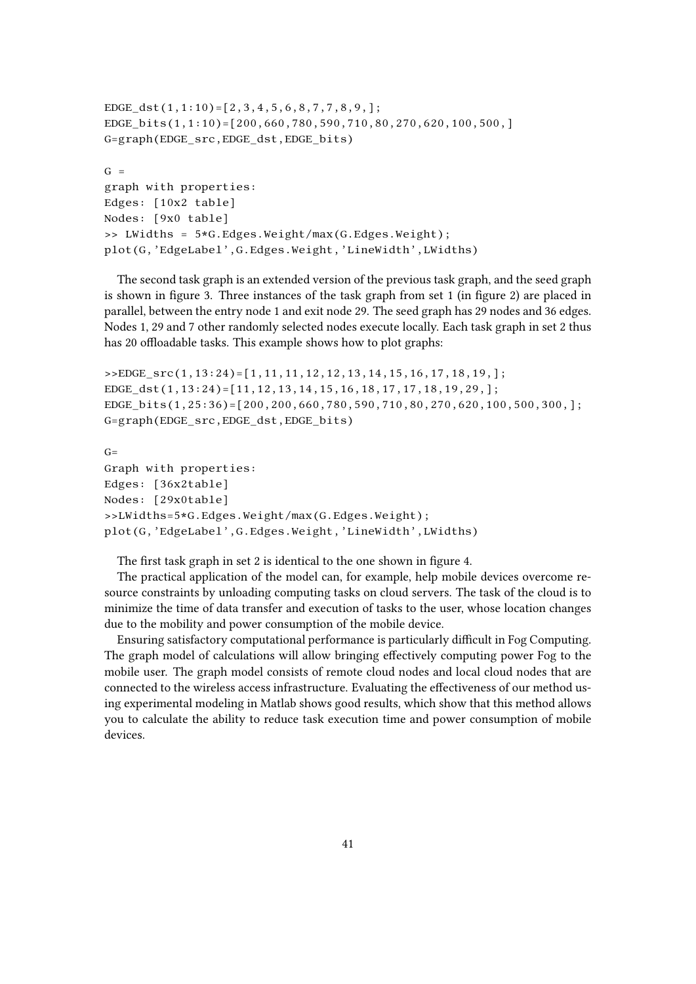```
EDGE_dst(1,1:10)=[2,3,4,5,6,8,7,7,8,9,];
EDGE_bits(1,1:10)=[200,660,780,590,710,80,270,620,100,500,]
G=graph(EDGE_src,EDGE_dst,EDGE_bits)
G =graph with properties:
Edges: [10x2 table]
Nodes: [9x0 table]
>> LWidths = 5*G.Edges.Weight/max(G.Edges.Weight);
plot(G,'EdgeLabel',G.Edges.Weight,'LineWidth',LWidths)
```
The second task graph is an extended version of the previous task graph, and the seed graph is shown in figure 3. Three instances of the task graph from set 1 (in figure 2) are placed in parallel, between the entry node 1 and exit node 29. The seed graph has 29 nodes and 36 edges. Nodes 1, 29 and 7 other randomly selected nodes execute locally. Each task graph in set 2 thus has 20 offloadable tasks. This example shows how to plot graphs:

```
>>EDGE_src(1,13:24)=[1,11,11,12,12,13,14,15,16,17,18,19,];
EDGE_dst(1,13:24)=[11,12,13,14,15,16,18,17,17,18,19,29,];
EDGE_bits(1,25:36)=[200,200,660,780,590,710,80,270,620,100,500,300,];
G=graph(EDGE_src,EDGE_dst,EDGE_bits)
```

```
G=Graph with properties:
Edges: [36x2table]
Nodes: [29x0table]
>>LWidths=5*G.Edges.Weight/max(G.Edges.Weight);
plot(G,'EdgeLabel',G.Edges.Weight,'LineWidth',LWidths)
```
The first task graph in set 2 is identical to the one shown in figure 4.

The practical application of the model can, for example, help mobile devices overcome resource constraints by unloading computing tasks on cloud servers. The task of the cloud is to minimize the time of data transfer and execution of tasks to the user, whose location changes due to the mobility and power consumption of the mobile device.

Ensuring satisfactory computational performance is particularly difficult in Fog Computing. The graph model of calculations will allow bringing effectively computing power Fog to the mobile user. The graph model consists of remote cloud nodes and local cloud nodes that are connected to the wireless access infrastructure. Evaluating the effectiveness of our method using experimental modeling in Matlab shows good results, which show that this method allows you to calculate the ability to reduce task execution time and power consumption of mobile devices.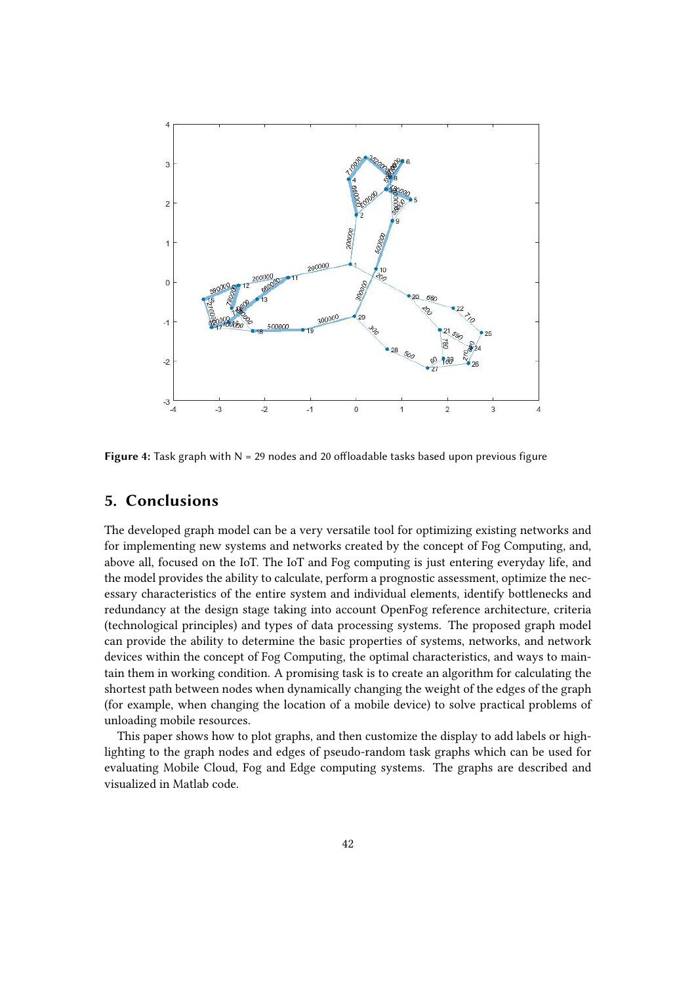

Figure 4: Task graph with N = 29 nodes and 20 offloadable tasks based upon previous figure

### **5. Conclusions**

The developed graph model can be a very versatile tool for optimizing existing networks and for implementing new systems and networks created by the concept of Fog Computing, and, above all, focused on the IoT. The IoT and Fog computing is just entering everyday life, and the model provides the ability to calculate, perform a prognostic assessment, optimize the necessary characteristics of the entire system and individual elements, identify bottlenecks and redundancy at the design stage taking into account OpenFog reference architecture, criteria (technological principles) and types of data processing systems. The proposed graph model can provide the ability to determine the basic properties of systems, networks, and network devices within the concept of Fog Computing, the optimal characteristics, and ways to maintain them in working condition. A promising task is to create an algorithm for calculating the shortest path between nodes when dynamically changing the weight of the edges of the graph (for example, when changing the location of a mobile device) to solve practical problems of unloading mobile resources.

This paper shows how to plot graphs, and then customize the display to add labels or highlighting to the graph nodes and edges of pseudo-random task graphs which can be used for evaluating Mobile Cloud, Fog and Edge computing systems. The graphs are described and visualized in Matlab code.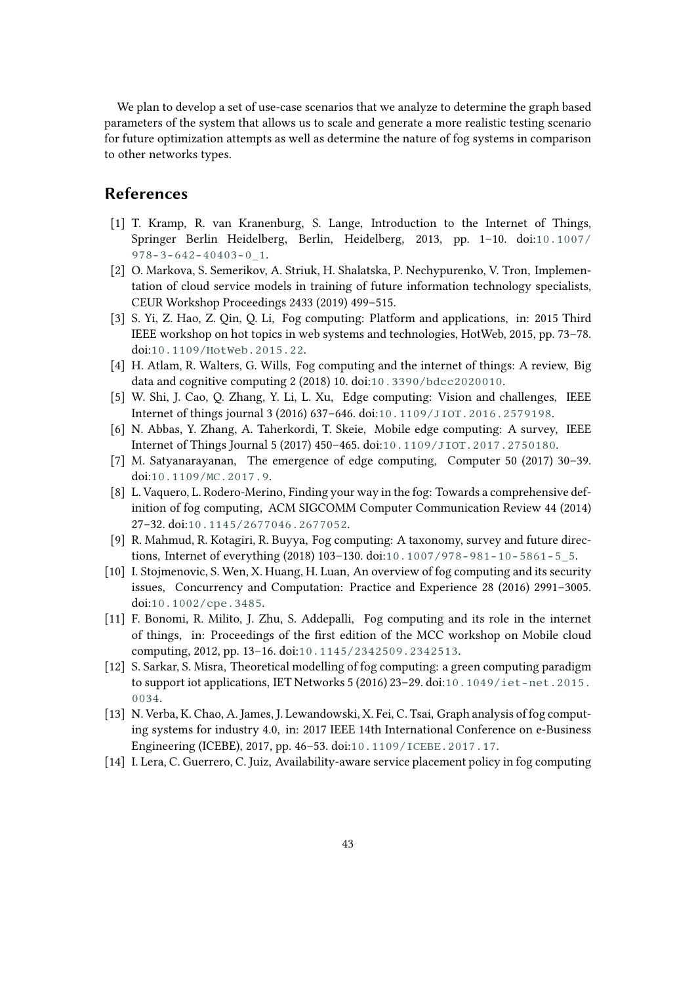We plan to develop a set of use-case scenarios that we analyze to determine the graph based parameters of the system that allows us to scale and generate a more realistic testing scenario for future optimization attempts as well as determine the nature of fog systems in comparison to other networks types.

### **References**

- <span id="page-15-0"></span>[1] T. Kramp, R. van Kranenburg, S. Lange, Introduction to the Internet of Things, Springer Berlin Heidelberg, Berlin, Heidelberg, 2013, pp. 1–10. doi:[10.1007/](http://dx.doi.org/10.1007/978-3-642-40403-0_1)  $978 - 3 - 642 - 40403 - 0$  1.
- <span id="page-15-1"></span>[2] O. Markova, S. Semerikov, A. Striuk, H. Shalatska, P. Nechypurenko, V. Tron, Implementation of cloud service models in training of future information technology specialists, CEUR Workshop Proceedings 2433 (2019) 499–515.
- <span id="page-15-2"></span>[3] S. Yi, Z. Hao, Z. Qin, Q. Li, Fog computing: Platform and applications, in: 2015 Third IEEE workshop on hot topics in web systems and technologies, HotWeb, 2015, pp. 73–78. doi:[10.1109/HotWeb.2015.22](http://dx.doi.org/10.1109/HotWeb.2015.22).
- <span id="page-15-3"></span>[4] H. Atlam, R. Walters, G. Wills, Fog computing and the internet of things: A review, Big data and cognitive computing 2 (2018) 10. doi:[10.3390/bdcc2020010](http://dx.doi.org/10.3390/bdcc2020010).
- <span id="page-15-4"></span>[5] W. Shi, J. Cao, Q. Zhang, Y. Li, L. Xu, Edge computing: Vision and challenges, IEEE Internet of things journal 3 (2016) 637–646. doi:[10.1109/JIOT.2016.2579198](http://dx.doi.org/10.1109/JIOT.2016.2579198).
- <span id="page-15-5"></span>[6] N. Abbas, Y. Zhang, A. Taherkordi, T. Skeie, Mobile edge computing: A survey, IEEE Internet of Things Journal 5 (2017) 450–465. doi:[10.1109/JIOT.2017.2750180](http://dx.doi.org/10.1109/JIOT.2017.2750180).
- <span id="page-15-6"></span>[7] M. Satyanarayanan, The emergence of edge computing, Computer 50 (2017) 30–39. doi:[10.1109/MC.2017.9](http://dx.doi.org/10.1109/MC.2017.9).
- <span id="page-15-7"></span>[8] L. Vaquero, L. Rodero-Merino, Finding your way in the fog: Towards a comprehensive definition of fog computing, ACM SIGCOMM Computer Communication Review 44 (2014) 27–32. doi:[10.1145/2677046.2677052](http://dx.doi.org/10.1145/2677046.2677052).
- <span id="page-15-8"></span>[9] R. Mahmud, R. Kotagiri, R. Buyya, Fog computing: A taxonomy, survey and future directions, Internet of everything (2018) 103–130. doi:[10.1007/978-981-10-5861-5\\_5](http://dx.doi.org/10.1007/978-981-10-5861-5_5).
- <span id="page-15-9"></span>[10] I. Stojmenovic, S. Wen, X. Huang, H. Luan, An overview of fog computing and its security issues, Concurrency and Computation: Practice and Experience 28 (2016) 2991–3005. doi:[10.1002/cpe.3485](http://dx.doi.org/10.1002/cpe.3485).
- <span id="page-15-10"></span>[11] F. Bonomi, R. Milito, J. Zhu, S. Addepalli, Fog computing and its role in the internet of things, in: Proceedings of the first edition of the MCC workshop on Mobile cloud computing, 2012, pp. 13–16. doi:[10.1145/2342509.2342513](http://dx.doi.org/10.1145/2342509.2342513).
- <span id="page-15-11"></span>[12] S. Sarkar, S. Misra, Theoretical modelling of fog computing: a green computing paradigm to support iot applications, IET Networks 5 (2016) 23–29. doi:[10.1049/iet-net.2015.](http://dx.doi.org/10.1049/iet-net.2015.0034) [0034](http://dx.doi.org/10.1049/iet-net.2015.0034).
- <span id="page-15-12"></span>[13] N. Verba, K. Chao, A. James, J. Lewandowski, X. Fei, C. Tsai, Graph analysis of fog computing systems for industry 4.0, in: 2017 IEEE 14th International Conference on e-Business Engineering (ICEBE), 2017, pp. 46–53. doi:[10.1109/ICEBE.2017.17](http://dx.doi.org/10.1109/ICEBE.2017.17).
- <span id="page-15-13"></span>[14] I. Lera, C. Guerrero, C. Juiz, Availability-aware service placement policy in fog computing